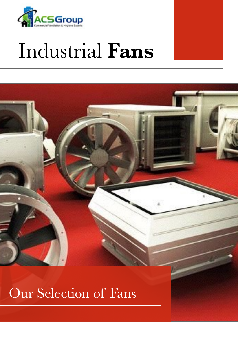

# Industrial **Fans**





### Our Selection of Fans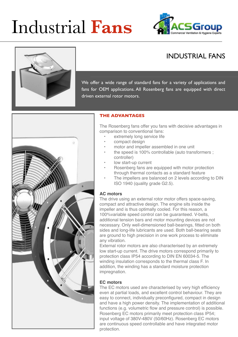# Industrial **Fans**







We offer a wide range of standard fans for a variety of applications and fans for OEM applications. All Rosenberg fans are equipped with direct driven external rotor motors.



#### **THE ADVANTAGES**

The Rosenberg fans offer you fans with decisive advantages in comparison to conventional fans:

- extremely long service life
- compact design
- motor and impeller assembled in one unit
- the speed is 100% controllable (auto transformers ; controller)
- low start-up current
- Rosenberg fans are equipped with motor protection through thermal contacts as a standard feature
- The impellers are balanced on 2 levels according to DIN ISO 1940 (quality grade G2.5).

#### **AC motors**

The drive using an external rotor motor offers space-saving, compact and attractive design. The engine sits inside the impeller and is thus optimally cooled. For this reason, a 100%variable speed control can be guaranteed. V-belts, additional tension bars and motor mounting devices are not necessary. Only well-dimensioned ball-bearings, fitted on both sides and long-life lubricants are used. Both ball-bearing seats are ground to high precision in one work process to eliminate any vibration.

External rotor motors are also characterised by an extremely low start-up current. The drive motors correspond primarily to protection class IP54 according to DIN EN 60034-5. The winding insulation corresponds to the thermal class F. In addition, the winding has a standard moisture protection impregnation.

#### **EC motors**

The EC motors used are characterised by very high efficiency even at partial loads, and excellent control behaviour. They are easy to connect, individually preconfigured, compact in design and have a high power density. The implementation of additional functions (e.g. volumetric flow and pressure control) is possible. Rosenberg EC motors primarily meet protection class IP54; input voltage of 380V-480V (50/60Hz). Rosenberg EC motors are continuous speed controllable and have integrated motor protection.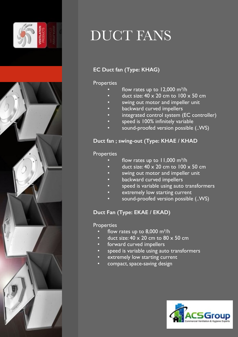



### DUCT FANS

#### **EC Duct fan (Type: KHAG)**

#### **Properties**

- flow rates up to  $12,000$  m<sup>3</sup>/h
- duct size:  $40 \times 20$  cm to  $100 \times 50$  cm
- swing out motor and impeller unit
- backward curved impellers
- integrated control system (EC controller)
- speed is 100% infinitely variable
- sound-proofed version possible (..WS)

#### **Duct fan ; swing-out (Type: KHAE / KHAD**

#### **Properties**

- flow rates up to  $11,000$  m<sup>3</sup>/h
- duct size:  $40 \times 20$  cm to  $100 \times 50$  cm
- swing out motor and impeller unit
- backward curved impellers
- speed is variable using auto transformers
- extremely low starting current
- sound-proofed version possible (..WS)

#### **Duct Fan (Type: EKAE / EKAD)**

- flow rates up to  $8,000$  m<sup>3</sup>/h
- duct size:  $40 \times 20$  cm to  $80 \times 50$  cm
- forward curved impellers
- speed is variable using auto transformers
- extremely low starting current
- compact, space-saving design

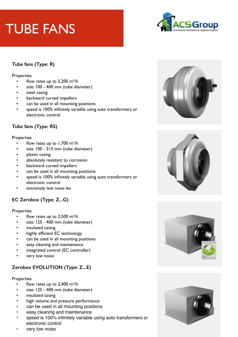## TUBE FANS



#### **Tube fans (Type: R)**

#### **Properties**

- flow rates up to  $5,200$  m<sup>3</sup>/h
- size: 100 400 mm (tube diameter)
- steel casing
- backward curved impellers
- can be used in all mounting positions
- speed is 100% infinitely variable using auto transformers or electronic control

#### **Tube fans (Type: RS)**

#### **Properties**

- flow rates up to  $1,700$  m<sup>3</sup>/h
- size: 100 315 mm (tube diameter)
- plastic casing
- absolutely resistant to corrosion
- backward curved impellers
- can be used in all mounting positions
- speed is 100% infinitely variable using auto transformers or electronic control
- extremely low noise lev

#### **EC Zerobox (Type: Z...G)**

#### **Properties**

- flow rates up to  $2,500$  m<sup>3</sup>/h
- size: 125 400 mm (tube diameter)
- insulated casing
- highly efficient EC technology
- can be used in all mounting positions
- easy cleaning and maintenance
- integrated control (EC controller)
- very low noise

#### **Zerobox EVOLUTION (Type: Z...E)**

- flow rates up to  $2,400$  m<sup>3</sup>/h
- size: 125 400 mm (tube diameter)
- insulated casing
- high volume and pressure performance
- can be used in all mounting positions
- easy cleaning and maintenance
- speed is 100% infinitely variable using auto transformers or electronic control
- very low noise







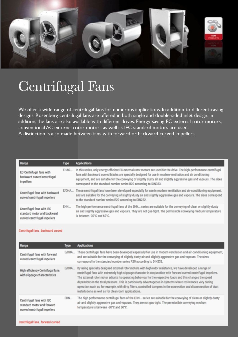

### Centrifugal Fans

We offer a wide range of centrifugal fans for numerous applications. In addition to different casing designs, Rosenberg centrifugal fans are offered in both single and double-sided inlet design. In addition, the fans are also available with different drives. Energy-saving EC external rotor motors, conventional AC external rotor motors as well as IEC standard motors are used. A distinction is also made between fans with forward or backward curved impellers.

| Range                                                                                    | Type  | <b>Applications</b>                                                                                                                                                                                                                                                                                                                                                                                                                  |
|------------------------------------------------------------------------------------------|-------|--------------------------------------------------------------------------------------------------------------------------------------------------------------------------------------------------------------------------------------------------------------------------------------------------------------------------------------------------------------------------------------------------------------------------------------|
| EC-Centrifugal fans with<br>backward curved centrifugal<br>impellers                     | EHAG  | In this series, only energy efficient EC external rotor motors are used for the drive. The high-performance centrifugal<br>fans with backward curved blades are specially designed for use in modern ventilation and air conditioning<br>equipment, and are suitable for the conveying of slightly dusty air and slightly aggressive gas and vapours. The sizes<br>correspond to the standard number series R20 according to DIN323. |
| Centrifugal fans with backward<br>curved centrifugal impellers                           | E/DHA | These centrifugal fans have been developed especially for use in modern ventilation and air-conditioning equipment,<br>and are suitable for the conveying of slightly dusty air and slightly aggressive gas and vapours. The sizes correspond<br>to the standard number series R20 according to DIN232.                                                                                                                              |
| Centrifugal fans with IEC<br>standard motor and backward<br>curved centrifugal impellers | EHN   | The high performance centrifugal fans of the EHN series are suitable for the conveying of clean or slightly dusty<br>air and slightly aggressive gas and vapours. They are not gas-tight. The permissible conveying medium temperature<br>is between -30°C and 60°C.                                                                                                                                                                 |

#### Centrifugal fans, backward curved

| Range                                                                                   | Type  | <b>Applications</b>                                                                                                                                                                                                                                                                                                                                                                                                                                                                                                                                                                                                                               |
|-----------------------------------------------------------------------------------------|-------|---------------------------------------------------------------------------------------------------------------------------------------------------------------------------------------------------------------------------------------------------------------------------------------------------------------------------------------------------------------------------------------------------------------------------------------------------------------------------------------------------------------------------------------------------------------------------------------------------------------------------------------------------|
| Centrifugal fans with forward<br>curved centrifugal impellers                           | E/DRA | These centrifugal fans have been developed especially for use in modern ventilation and air-conditioning equipment,<br>and are suitable for the conveying of slightly dusty air and slightly aggressive gas and vapours. The sizes<br>correspond to the standard number series R20 according to DIN232.                                                                                                                                                                                                                                                                                                                                           |
| High efficiency Centrifugal fans<br>with slippage characteristics                       |       | E/DRA By using specially designed external rotor motors with high rotor resistance, we have developed a range of<br>centrifugal fans with extremely high slippage character in conjunction with forward curved centrifugal impellers.<br>The external rotor motor adjusts its operating behaviour to the respective loads and this changes the speed<br>dependent on the total pressure. This is particularly advantageous in systems where resistances vary during<br>operation such as, for example, with dirty filters, controlled dampers in the connection and disconnection of duct<br>installations as well as for cleanroom applications. |
| Centrifugal fans with IEC<br>standard motor and forward<br>curved centrifugal impellers | ERN.  | The high performance centrifugal fans of the ERN series are suitable for the conveying of clean or slightly dusty<br>air and slightly aggressive gas and vapours. They are not gas-tight. The permissible conveying medium<br>temperature is between -30°C and 60°C.                                                                                                                                                                                                                                                                                                                                                                              |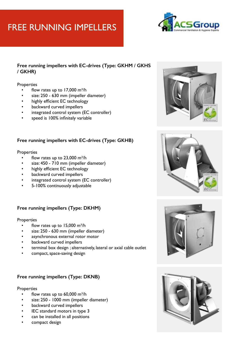### FREE RUNNING IMPELLERS



#### **Free running impellers with EC-drives (Type: GKHM / GKHS / GKHR)**

#### **Properties**

- flow rates up to  $17,000$  m<sup>3</sup>/h
- size: 250 630 mm (impeller diameter)
- highly efficient EC technology
- backward curved impellers
- integrated control system (EC controller)
- speed is 100% infinitely variable

#### **Free running impellers with EC-drives (Type: GKHB)**

#### **Properties**

- flow rates up to  $23,000$  m<sup>3</sup>/h
- size: 450 710 mm (impeller diameter)
- highly efficient EC technology
- backward curved impellers
- integrated control system (EC controller)
- 5-100% continuously adjustable

#### **Free running impellers (Type: DKHM)**

#### **Properties**

- flow rates up to  $15,000$  m<sup>3</sup>/h
- size: 250 630 mm (impeller diameter)
- asynchronous external rotor motor
- backward curved impellers
- terminal box design ; alternatively, lateral or axial cable outlet
- compact, space-saving design

#### **Free running impellers (Type: DKNB)**

- flow rates up to  $60,000$  m<sup>3</sup>/h
- size: 250 1000 mm (impeller diameter)
- backward curved impellers
- IEC standard motors in type 3
- can be installed in all positions
- compact design







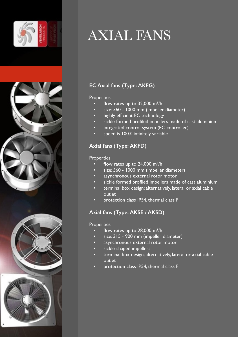



## AXIAL FANS

#### **EC Axial fans (Type: AKFG)**

#### **Properties**

- flow rates up to  $32,000$  m<sup>3</sup>/h
- size: 560 1000 mm (impeller diameter)
- highly efficient EC technology
- sickle formed profiled impellers made of cast aluminium
- integrated control system (EC controller)
- speed is 100% infinitely variable

#### **Axial fans (Type: AKFD)**

#### **Properties**

- flow rates up to  $24,000$  m<sup>3</sup>/h
- size: 560 1000 mm (impeller diameter)
- asynchronous external rotor motor
- sickle formed profiled impellers made of cast aluminium
- terminal box design; alternatively, lateral or axial cable outlet
- protection class IP54, thermal class F

#### **Axial fans (Type: AKSE / AKSD)**

- flow rates up to  $28,000$  m<sup>3</sup>/h
- size: 315 900 mm (impeller diameter)
- asynchronous external rotor motor
- sickle-shaped impellers
- terminal box design; alternatively, lateral or axial cable outlet
- protection class IP54, thermal class F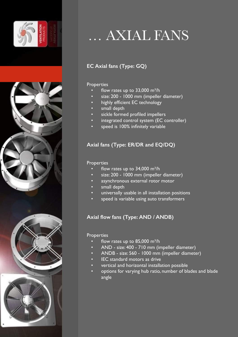



### … AXIAL FANS

#### **EC Axial fans (Type: GQ)**

#### Properties

- flow rates up to  $33,000$  m<sup>3</sup>/h
- size: 200 1000 mm (impeller diameter)
- highly efficient EC technology
- small depth
- sickle formed profiled impellers
- integrated control system (EC controller)
- speed is 100% infinitely variable

#### **Axial fans (Type: ER/DR and EQ/DQ)**

#### Properties

- flow rates up to  $34,000$  m<sup>3</sup>/h
- size: 200 1000 mm (impeller diameter)
- asynchronous external rotor motor
- small depth
- universally usable in all installation positions
- speed is variable using auto transformers

#### **Axial flow fans (Type: AND / ANDB)**

- flow rates up to  $85,000$  m<sup>3</sup>/h
- AND size: 400 710 mm (impeller diameter)
- ANDB size: 560 1000 mm (impeller diameter)
- IEC standard motors as drive
- vertical and horizontal installation possible
- options for varying hub ratio, number of blades and blade angle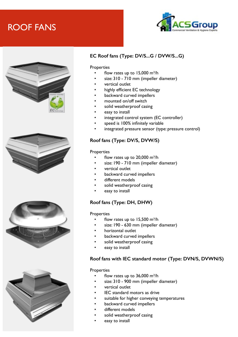### ROOF FANS











#### **EC Roof fans (Type: DV/S...G / DVW/S...G)**

#### **Properties**

- flow rates up to  $15,000$  m<sup>3</sup>/h
- size: 310 710 mm (impeller diameter)
- vertical outlet
- highly efficient EC technology
- backward curved impellers
- mounted on/off switch
- solid weatherproof casing
- easy to install
- integrated control system (EC controller)
- speed is 100% infinitely variable
- integrated pressure sensor (type: pressure control)

#### **Roof fans (Type: DV/S, DVW/S)**

#### **Properties**

- flow rates up to  $20,000$  m<sup>3</sup>/h
- size: 190 710 mm (impeller diameter)
- vertical outlet
- backward curved impellers
- different models
- solid weatherproof casing
- easy to install

#### **Roof fans (Type: DH, DHW)**

#### **Properties**

- flow rates up to  $15,500$  m<sup>3</sup>/h
- size: 190 630 mm (impeller diameter)
- horizontal outlet
- backward curved impellers
- solid weatherproof casing
- easy to install

#### **Roof fans with IEC standard motor (Type: DVN/S, DVWN/S)**

- flow rates up to  $36,000$  m<sup>3</sup>/h
- size: 310 900 mm (impeller diameter)
- vertical outlet
- IEC standard motors as drive
- suitable for higher conveying temperatures
- backward curved impellers
- different models
- solid weatherproof casing
- easy to install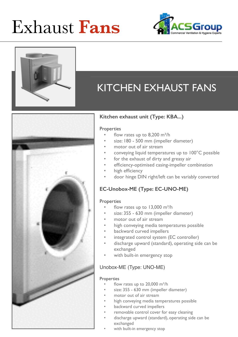# Exhaust **Fans**



### KITCHEN EXHAUST FANS



#### **Kitchen exhaust unit (Type: KBA...)**

#### **Properties**

- flow rates up to  $8,200$  m<sup>3</sup>/h
- size: 180 500 mm (impeller diameter)
- motor out of air stream
- conveying liquid temperatures up to 100°C possible
- for the exhaust of dirty and greasy air
- efficiency-optimised casing-impeller combination
- high efficiency
- door hinge DIN right/left can be variably converted

#### **EC-Unobox-ME (Type: EC-UNO-ME)**

#### **Properties**

- flow rates up to  $13,000$  m<sup>3</sup>/h
- size: 355 630 mm (impeller diameter)
- motor out of air stream
- high conveying media temperatures possible
- backward curved impellers
- integrated control system (EC controller)
- discharge upward (standard), operating side can be exchanged
- with built-in emergency stop

#### Unobox-ME (Type: UNO-ME)

- flow rates up to  $20,000$  m<sup>3</sup>/h
- size: 355 630 mm (impeller diameter)
- motor out of air stream
- high conveying media temperatures possible
- backward curved impellers
- removable control cover for easy cleaning
- discharge upward (standard), operating side can be exchanged
- with built-in emergency stop